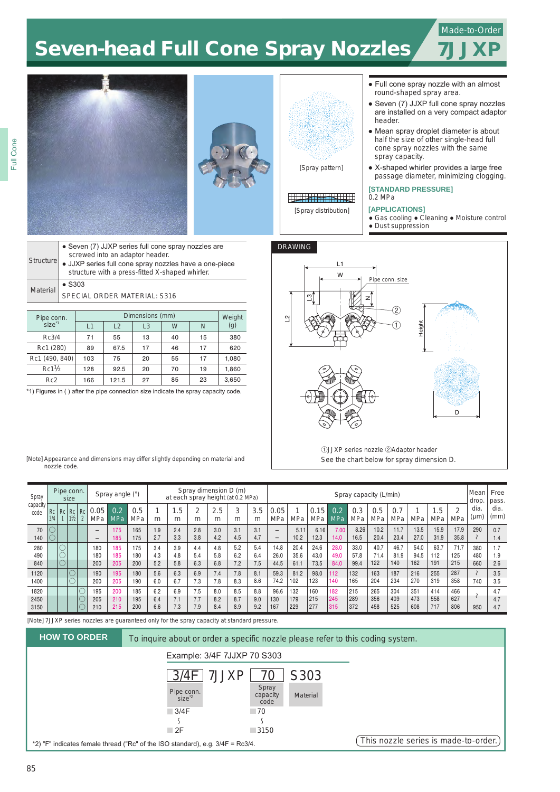### Made-to-Order

7JJXP

# Seven-head Full Cone Spray Nozzles







# <u> Tarzet Barnett</u>

[Spray distribution]

 $\overline{1}$ W

 $\sim$ 

DRAWING

L3

- Full cone spray nozzle with an almost round-shaped spray area.
- Seven (7) JJXP full cone spray nozzles are installed on a very compact adaptor header.
- Mean spray droplet diameter is about half the size of other single-head full cone spray nozzles with the same spray capacity.
- X-shaped whirler provides a large free passage diameter, minimizing clogging.

#### **[STANDARD PRESSURE]** 0.2 MPa

## **[APPLICATIONS]**

Pipe conn. size

z

②  $_{\oplus}$ 

Height

- 
- Gas cooling Cleaning Moisture control ● Dust suppression

| Structure       | • Seven (7) JJXP series full cone spray nozzles are<br>screwed into an adaptor header.<br>· JJXP series full cone spray nozzles have a one-piece<br>structure with a press-fitted X-shaped whirler. |
|-----------------|-----------------------------------------------------------------------------------------------------------------------------------------------------------------------------------------------------|
| <b>Material</b> | $\bullet$ S303<br>SPECIAL ORDER MATERIAL: S316                                                                                                                                                      |
|                 |                                                                                                                                                                                                     |

| Pipe conn.        |     | Weight |                |    |    |       |
|-------------------|-----|--------|----------------|----|----|-------|
| size <sup>1</sup> | l 1 | L2     | L <sub>3</sub> | W  | N  | (g)   |
| Rc3/4             | 71  | 55     | 13             | 40 | 15 | 380   |
| Rc1 (280)         | 89  | 67.5   | 17             | 46 | 17 | 620   |
| Rc1 (490, 840)    | 103 | 75     | 20             | 55 | 17 | 1,080 |
| $Rc1\frac{1}{2}$  | 128 | 92.5   | 20             | 70 | 19 | 1,860 |
| Rc <sub>2</sub>   | 166 | 121.5  | 27             | 85 | 23 | 3,650 |

\*1) Figures in ( ) after the pipe connection size indicate the spray capacity code.



See the chart below for spray dimension D.

| [Note] Appearance and dimensions may differ slightly depending on material and |  |  |
|--------------------------------------------------------------------------------|--|--|
| nozzle code.                                                                   |  |  |

| Spray            |           |    | Pipe conn.<br>size          |          |             | Spray angle (°) |            |     | at each spray height (at 0.2 MPa) |        | Spray dimension D (m) |        |          | Spray capacity (L/min)   |      |             |                   |            | Mean l<br>drop.   | Free<br>pass.     |      |               |      |              |              |
|------------------|-----------|----|-----------------------------|----------|-------------|-----------------|------------|-----|-----------------------------------|--------|-----------------------|--------|----------|--------------------------|------|-------------|-------------------|------------|-------------------|-------------------|------|---------------|------|--------------|--------------|
| capacity<br>code | Rc<br>3/4 | Rc | Rc   Rc  <br>$1\frac{1}{2}$ | $\Omega$ | 0.05<br>MPa | 0.2<br>MPa      | 0.5<br>MPa | m   | .5<br>4<br>m                      | 2<br>m | 2.5<br>m              | 3<br>m | 3.5<br>m | 0.05<br>MPa              | MPa  | 0.15<br>MPa | 0.2<br><b>MPa</b> | 0.3<br>MPa | 0.5<br><b>MPa</b> | 0.7<br><b>MPa</b> | MPa  | $.5\,$<br>MPa | MPa  | dia.<br>(µm) | dia.<br>(mm) |
| 70               |           |    |                             |          | -           | 175             | 165        | 1.9 | 2.4                               | 2.8    | 3.0                   | 3.1    | 3.1      |                          | 5.11 | 6.16        | 7.00              | 8.26       | 10.2              | 11.7              | 13.5 | 15.9          | 17.9 | 290          | 0.7          |
| 140              |           |    |                             |          | -           | 185             | 175        | 2.7 | 3.3                               | 3.8    | 4.2                   | 4.5    | 4.7      | $\overline{\phantom{0}}$ | 10.2 | 12.3        | 14.0              | 16.5       | 20.4              | 23.4              | 27.0 | 31.9          | 35.8 |              | 1.4          |
| 280              |           |    |                             |          | 180         | 185             | 175        | 3.4 | 3.9                               | 4.4    | 4.8                   | 5.2    | 5.4      | 14.8                     | 20.4 | 24.6        | 28.0              | 33.0       | 40.7              | 46.7              | 54.0 | 63.7          | 71.7 | 380          |              |
| 490              |           |    |                             |          | 180         | 185             | 180        | 4.3 | 4.8                               | 5.4    | 5.8                   | 6.2    | 6.4      | 26.0                     | 35.6 | 43.0        | 49.0              | 57.8       | 71.4              | 81.9              | 94.5 | 112           | 125  | 480          | 1.9          |
| 840              |           |    |                             |          | 200         | 205             | 200        | 5.2 | 5.8                               | 6.3    | 6.8                   | 7.2    | 7.5      | 44.5                     | 61.1 | 73.5        | 84.0              | 99.4       | 122               | 140               | 162  | 191           | 215  | 660          | 2.6          |
| 1120             |           |    |                             |          | 190         | 195             | 180        | 5.6 | 6.3                               | 6.9    | 7.4                   | 7.8    | 8.1      | 59.3                     | 81.2 | 98.0        | 112               | 132        | 163               | 187               | 216  | 255           | 287  |              | 3.5          |
| 1400             |           |    |                             |          | 200         | 205             | 190        | 6.0 | 6.7                               | 7.3    | 7.8                   | 8.3    | 8.6      | 74.2                     | 102  | 123         | 140               | 165        | 204               | 234               | 270  | 319           | 358  | 740          | 3.5          |
| 1820             |           |    |                             |          | 195         | 200             | 185        | 6.2 | 6.9                               | 7.5    | 8.0                   | 8.5    | 8.8      | 96.6                     | 132  | 160         | 182               | 215        | 265               | 304               | 351  | 414           | 466  |              | 4.7          |
| 2450             |           |    |                             |          | 205         | 210             | 195        | 6.4 | 7.1                               | 7.7    | 8.2                   | 8.7    | 9.0      | 130                      | 179  | 215         | 245               | 289        | 356               | 409               | 473  | 558           | 627  |              | 4.7          |
| 3150             |           |    |                             |          | 210         | 215             | 200        | 6.6 | 7.3                               | 7.9    | 8.4                   | 8.9    | 9.2      | 167                      | 229  | 277         | 315               | 372        | 458               | 525               | 608  | 717           | 806  | 950          | 4.7          |

[Note] 7JJXP series nozzles are guaranteed only for the spray capacity at standard pressure.